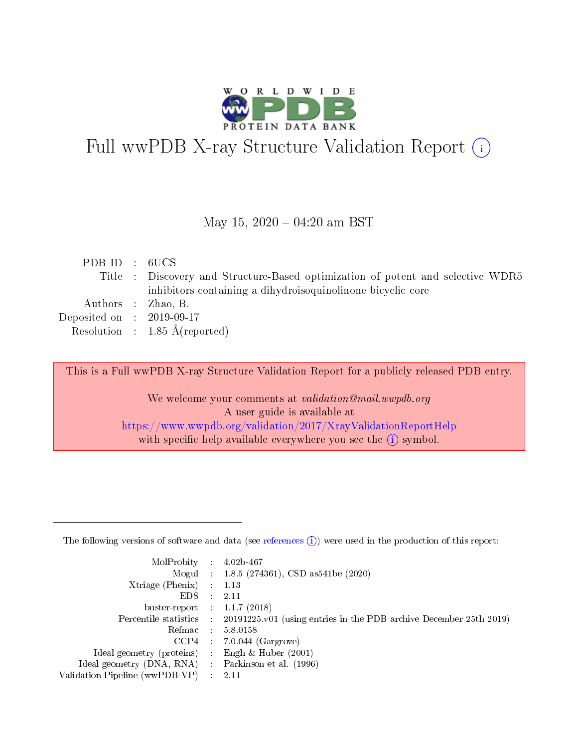

# Full wwPDB X-ray Structure Validation Report (i)

#### May 15,  $2020 - 04:20$  am BST

| PDB ID : 6UCS               |                                                                                 |
|-----------------------------|---------------------------------------------------------------------------------|
|                             | Title : Discovery and Structure-Based optimization of potent and selective WDR5 |
|                             | inhibitors containing a dihydroisoquinolinone bicyclic core                     |
|                             | Authors : Zhao, B.                                                              |
| Deposited on : $2019-09-17$ |                                                                                 |
|                             | Resolution : $1.85 \text{ Å}$ (reported)                                        |
|                             |                                                                                 |

This is a Full wwPDB X-ray Structure Validation Report for a publicly released PDB entry.

We welcome your comments at validation@mail.wwpdb.org A user guide is available at <https://www.wwpdb.org/validation/2017/XrayValidationReportHelp> with specific help available everywhere you see the  $(i)$  symbol.

The following versions of software and data (see [references](https://www.wwpdb.org/validation/2017/XrayValidationReportHelp#references)  $(1)$ ) were used in the production of this report:

| MolProbity :                   |               | $4.02b - 467$                                                                |
|--------------------------------|---------------|------------------------------------------------------------------------------|
|                                |               | Mogul : $1.8.5$ (274361), CSD as 541be (2020)                                |
| Xtriage (Phenix)               | $\mathcal{L}$ | 1.13                                                                         |
| EDS.                           |               | 2.11                                                                         |
| buster-report : $1.1.7$ (2018) |               |                                                                              |
| Percentile statistics :        |               | $20191225 \text{ v}01$ (using entries in the PDB archive December 25th 2019) |
| Refmac :                       |               | 5.8.0158                                                                     |
| CCP4                           |               | $7.0.044$ (Gargrove)                                                         |
| Ideal geometry (proteins) :    |               | Engh & Huber $(2001)$                                                        |
| Ideal geometry (DNA, RNA) :    |               | Parkinson et al. (1996)                                                      |
| Validation Pipeline (wwPDB-VP) | $\mathcal{L}$ | 2.11                                                                         |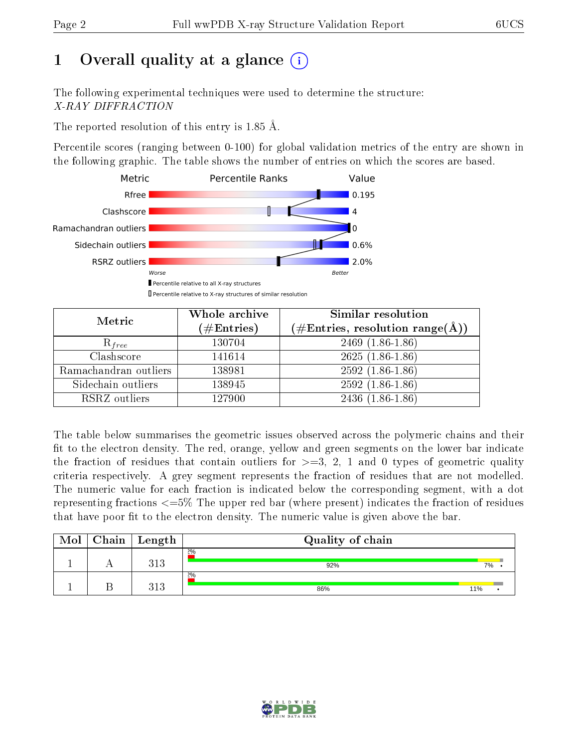# 1 [O](https://www.wwpdb.org/validation/2017/XrayValidationReportHelp#overall_quality)verall quality at a glance  $(i)$

The following experimental techniques were used to determine the structure: X-RAY DIFFRACTION

The reported resolution of this entry is 1.85 Å.

Percentile scores (ranging between 0-100) for global validation metrics of the entry are shown in the following graphic. The table shows the number of entries on which the scores are based.



| Metric                | Whole archive<br>$(\#\text{Entries})$ | Similar resolution<br>(#Entries, resolution range( $\AA$ )) |  |  |
|-----------------------|---------------------------------------|-------------------------------------------------------------|--|--|
| $R_{free}$            | 130704                                | $2469(1.86-1.86)$                                           |  |  |
| Clashscore            | 141614                                | $2625(1.86-1.86)$                                           |  |  |
| Ramachandran outliers | 138981                                | $2592(1.86-1.86)$                                           |  |  |
| Sidechain outliers    | 138945                                | $2592(1.86-1.86)$                                           |  |  |
| RSRZ outliers         | 127900                                | $2436(1.86-1.86)$                                           |  |  |

The table below summarises the geometric issues observed across the polymeric chains and their fit to the electron density. The red, orange, yellow and green segments on the lower bar indicate the fraction of residues that contain outliers for  $>=3, 2, 1$  and 0 types of geometric quality criteria respectively. A grey segment represents the fraction of residues that are not modelled. The numeric value for each fraction is indicated below the corresponding segment, with a dot representing fractions  $\epsilon=5\%$  The upper red bar (where present) indicates the fraction of residues that have poor fit to the electron density. The numeric value is given above the bar.

| Mol | Chain | Length       | Quality of chain |     |
|-----|-------|--------------|------------------|-----|
|     |       | 313          | 2%<br>92%        | 7%  |
|     |       | 212<br>ن 1 ف | 2%<br>86%        | 11% |

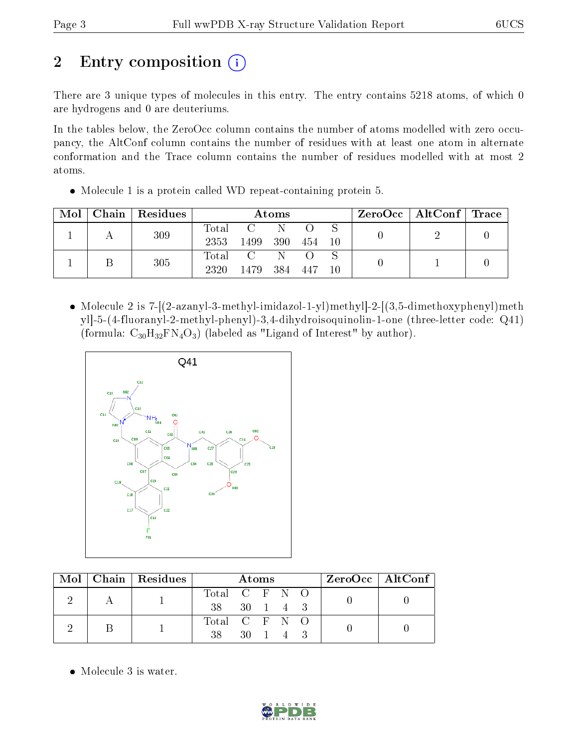# 2 Entry composition  $\left( \cdot \right)$

There are 3 unique types of molecules in this entry. The entry contains 5218 atoms, of which 0 are hydrogens and 0 are deuteriums.

In the tables below, the ZeroOcc column contains the number of atoms modelled with zero occupancy, the AltConf column contains the number of residues with at least one atom in alternate conformation and the Trace column contains the number of residues modelled with at most 2 atoms.

| $\text{Mol}$ |     | Chain Residues | Atoms |      |     |     |  | $ZeroOcc \mid AltConf \mid Trace$ |  |  |
|--------------|-----|----------------|-------|------|-----|-----|--|-----------------------------------|--|--|
|              | 309 | Total          |       |      |     |     |  |                                   |  |  |
|              |     | 2353           | 1499  | 390  | 454 | -10 |  |                                   |  |  |
|              |     |                | Total |      |     |     |  |                                   |  |  |
|              |     | 305            | 2320  | 1479 | 384 | 447 |  |                                   |  |  |

Molecule 1 is a protein called WD repeat-containing protein 5.

 Molecule 2 is 7-[(2-azanyl-3-methyl-imidazol-1-yl)methyl]-2-[(3,5-dimethoxyphenyl)meth yl]-5-(4-fluoranyl-2-methyl-phenyl)-3,4-dihydroisoquinolin-1-one (three-letter code: Q41) (formula:  $C_{30}H_{32}FN_{4}O_{3}$ ) (labeled as "Ligand of Interest" by author).



|  |  | Mol   Chain   Residues | Atoms         |  |  |          | $ZeroOcc \   \ AltConf \  $ |  |  |
|--|--|------------------------|---------------|--|--|----------|-----------------------------|--|--|
|  |  |                        | Total C F N O |  |  |          |                             |  |  |
|  |  | 38 30 1 4 3            |               |  |  |          |                             |  |  |
|  |  |                        | Total C F N O |  |  |          |                             |  |  |
|  |  |                        | 38 -          |  |  | 30 1 4 3 |                             |  |  |

• Molecule 3 is water.

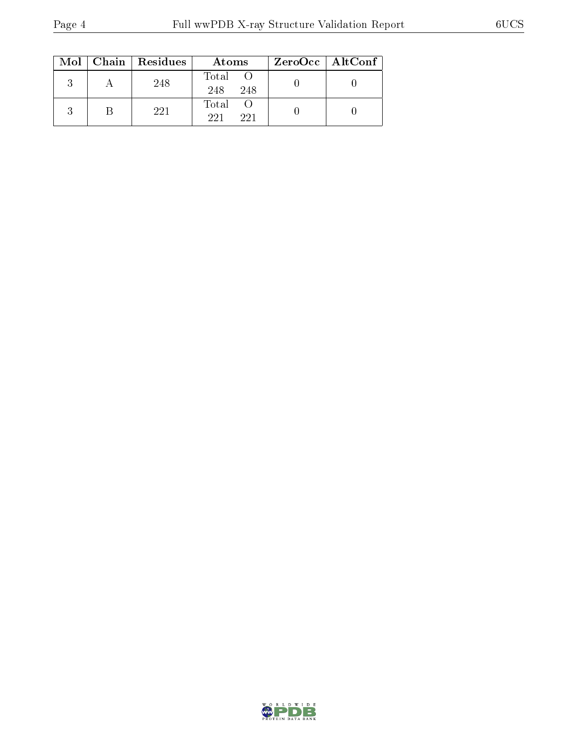|  | Mol   Chain   Residues | Atoms               | ZeroOcc   AltConf |
|--|------------------------|---------------------|-------------------|
|  | 248                    | Total<br>248<br>248 |                   |
|  | 221                    | Total<br>221<br>221 |                   |

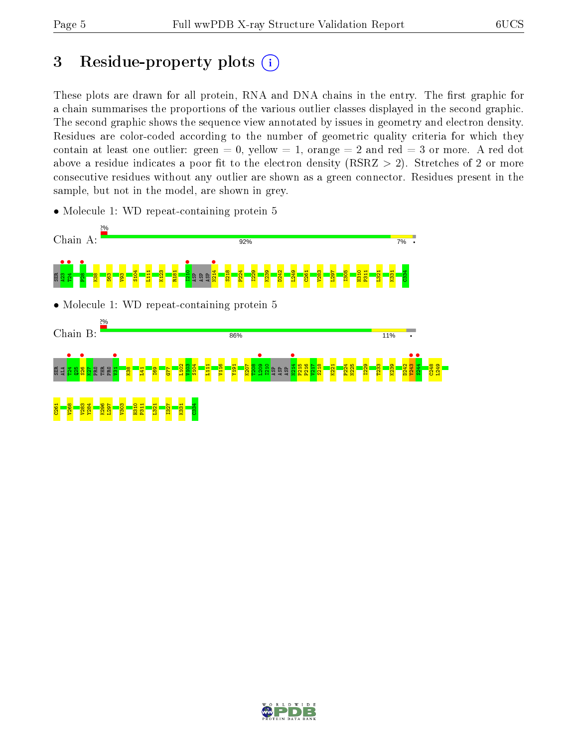## 3 Residue-property plots  $(i)$

These plots are drawn for all protein, RNA and DNA chains in the entry. The first graphic for a chain summarises the proportions of the various outlier classes displayed in the second graphic. The second graphic shows the sequence view annotated by issues in geometry and electron density. Residues are color-coded according to the number of geometric quality criteria for which they contain at least one outlier: green  $= 0$ , yellow  $= 1$ , orange  $= 2$  and red  $= 3$  or more. A red dot above a residue indicates a poor fit to the electron density (RSRZ  $> 2$ ). Stretches of 2 or more consecutive residues without any outlier are shown as a green connector. Residues present in the sample, but not in the model, are shown in grey.

• Molecule 1: WD repeat-containing protein 5



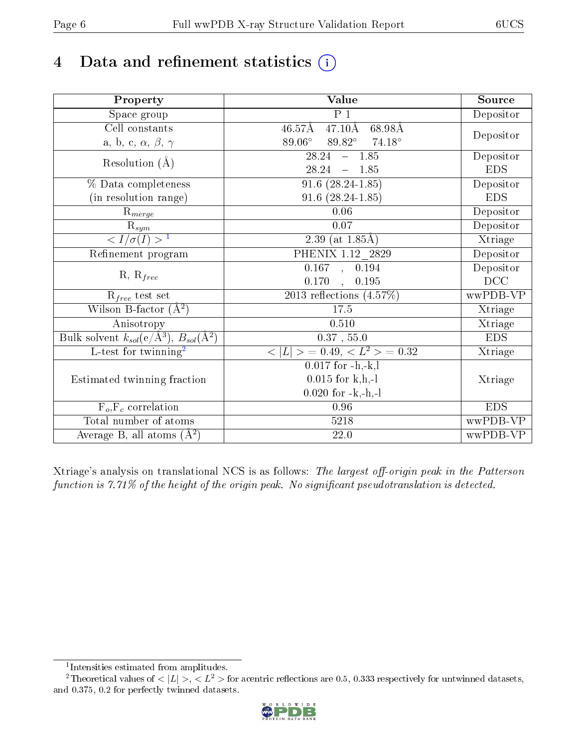# 4 Data and refinement statistics  $(i)$

| Property                                                             | Value                                               | Source     |
|----------------------------------------------------------------------|-----------------------------------------------------|------------|
| Space group                                                          | P <sub>1</sub>                                      | Depositor  |
| Cell constants                                                       | $47.10\text{\AA}$<br>$46.57\text{\AA}$<br>68.98Å    |            |
| a, b, c, $\alpha$ , $\beta$ , $\gamma$                               | $89.06^{\circ}$<br>$89.82^\circ$<br>$74.18^{\circ}$ | Depositor  |
| Resolution $(\AA)$                                                   | $28.24 - 1.85$                                      | Depositor  |
|                                                                      | 28.24<br>$-1.85$                                    | <b>EDS</b> |
| % Data completeness                                                  | $91.6(28.24-1.85)$                                  | Depositor  |
| (in resolution range)                                                | $91.6(28.24-1.85)$                                  | <b>EDS</b> |
| $R_{merge}$                                                          | 0.06                                                | Depositor  |
| $\overline{\mathrm{R}}_{sym}$                                        | $0.07\,$                                            | Depositor  |
| $\sqrt{I/\sigma(I)} > 1$                                             | $\overline{2.39}$ (at 1.85Å)                        | Xtriage    |
| Refinement program                                                   | PHENIX 1.12_2829                                    | Depositor  |
| $R, R_{free}$                                                        | 0.167, 0.194                                        | Depositor  |
|                                                                      | 0.170<br>0.195<br>$\mathbf{A}$                      | DCC        |
| $R_{free}$ test set                                                  | 2013 reflections $(4.57\%)$                         | wwPDB-VP   |
| Wilson B-factor $(A^2)$                                              | 17.5                                                | Xtriage    |
| Anisotropy                                                           | 0.510                                               | Xtriage    |
| Bulk solvent $k_{sol}(e/\mathring{A}^3)$ , $B_{sol}(\mathring{A}^2)$ | $0.37$ , 55.0                                       | <b>EDS</b> |
| L-test for twinning <sup>2</sup>                                     | $< L >$ = 0.49, $< L2$ > = 0.32                     | Xtriage    |
|                                                                      | $\overline{0.017}$ for $-h,-k,l$                    |            |
| Estimated twinning fraction                                          | $0.015$ for k,h,-l                                  | Xtriage    |
|                                                                      | $0.020$ for $-k,-h,-l$                              |            |
| $F_o, F_c$ correlation                                               | 0.96                                                | <b>EDS</b> |
| Total number of atoms                                                | 5218                                                | wwPDB-VP   |
| Average B, all atoms $(A^2)$                                         | $22.0\,$                                            | wwPDB-VP   |

Xtriage's analysis on translational NCS is as follows: The largest off-origin peak in the Patterson function is  $7.71\%$  of the height of the origin peak. No significant pseudotranslation is detected.

<sup>&</sup>lt;sup>2</sup>Theoretical values of  $\langle |L| \rangle$ ,  $\langle L^2 \rangle$  for acentric reflections are 0.5, 0.333 respectively for untwinned datasets, and 0.375, 0.2 for perfectly twinned datasets.



<span id="page-5-1"></span><span id="page-5-0"></span><sup>1</sup> Intensities estimated from amplitudes.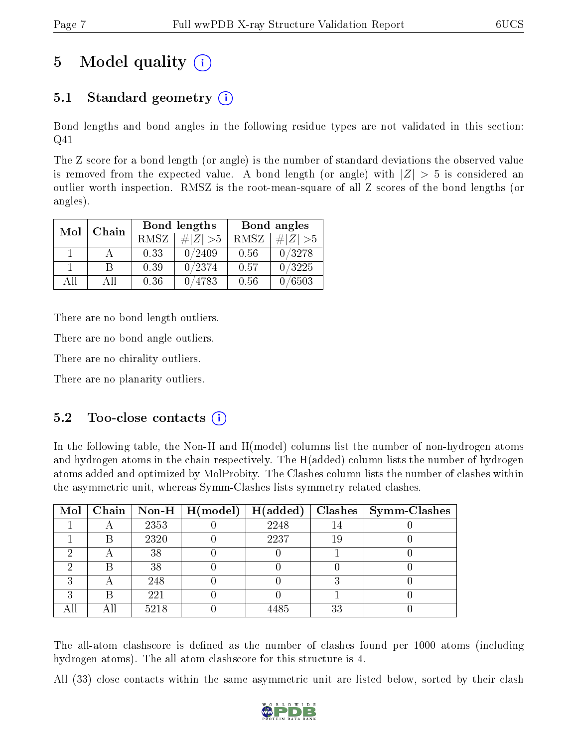# 5 Model quality  $(i)$

### 5.1 Standard geometry (i)

Bond lengths and bond angles in the following residue types are not validated in this section: Q41

The Z score for a bond length (or angle) is the number of standard deviations the observed value is removed from the expected value. A bond length (or angle) with  $|Z| > 5$  is considered an outlier worth inspection. RMSZ is the root-mean-square of all Z scores of the bond lengths (or angles).

| Mol | Chain |             | Bond lengths | Bond angles |             |  |
|-----|-------|-------------|--------------|-------------|-------------|--|
|     |       | <b>RMSZ</b> | $\# Z  > 5$  | RMSZ        | $\ Z\  > 5$ |  |
|     |       | 0.33        | 0/2409       | 0.56        | 0/3278      |  |
|     | R     | 0.39        | 0/2374       | 0.57        | 0/3225      |  |
| All | Αll   | 0.36        | 4783         | 0.56        | 0/6503      |  |

There are no bond length outliers.

There are no bond angle outliers.

There are no chirality outliers.

There are no planarity outliers.

### $5.2$  Too-close contacts  $(i)$

In the following table, the Non-H and H(model) columns list the number of non-hydrogen atoms and hydrogen atoms in the chain respectively. The H(added) column lists the number of hydrogen atoms added and optimized by MolProbity. The Clashes column lists the number of clashes within the asymmetric unit, whereas Symm-Clashes lists symmetry related clashes.

|   |      | Mol   Chain   Non-H   $H (model)$   $H (added)$ |      |    | $Class \mid Symm$ -Clashes |
|---|------|-------------------------------------------------|------|----|----------------------------|
|   | 2353 |                                                 | 2248 |    |                            |
|   | 2320 |                                                 | 2237 | 19 |                            |
|   | 38   |                                                 |      |    |                            |
|   | 38   |                                                 |      |    |                            |
|   | 248  |                                                 |      |    |                            |
| ົ | 221  |                                                 |      |    |                            |
|   | 5218 |                                                 | 4485 | 33 |                            |

The all-atom clashscore is defined as the number of clashes found per 1000 atoms (including hydrogen atoms). The all-atom clashscore for this structure is 4.

All (33) close contacts within the same asymmetric unit are listed below, sorted by their clash

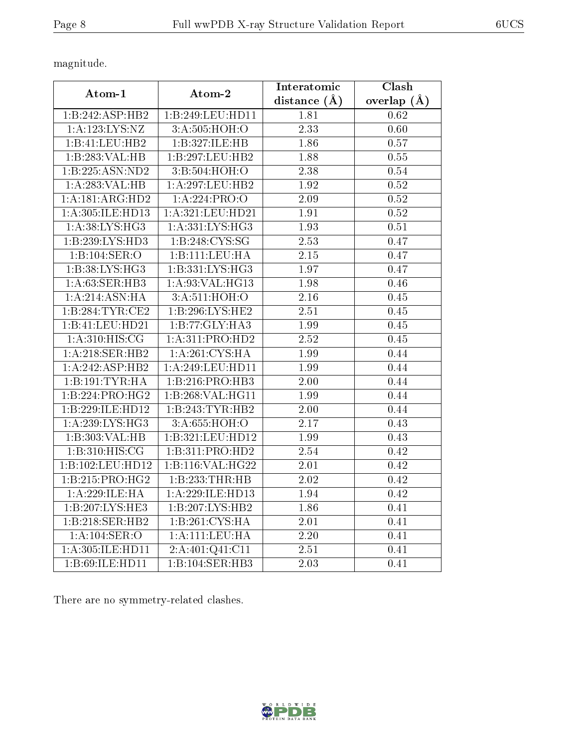magnitude.

| Atom-1               | Atom-2              | Interatomic    | Clash         |
|----------------------|---------------------|----------------|---------------|
|                      |                     | distance $(A)$ | overlap $(A)$ |
| 1:B:242:ASP:HB2      | 1:B:249:LEU:HD11    | 1.81           | 0.62          |
| 1: A: 123: LYS: NZ   | 3: A:505: HOH:O     | 2.33           | 0.60          |
| 1:B:41:LEU:HB2       | 1:B:327:ILE:HB      | 1.86           | 0.57          |
| 1:B:283:VAL:HB       | 1:B:297:LEU:HB2     | 1.88           | 0.55          |
| 1:B:225:ASN:ND2      | 3:B:504:HOH:O       | 2.38           | 0.54          |
| 1: A:283:VAL:HB      | 1: A:297:LEU:HB2    | 1.92           | 0.52          |
| 1:A:181:ARG:HD2      | 1:A:224:PRO:O       | 2.09           | 0.52          |
| 1: A: 305: ILE: HD13 | 1: A:321: LEU: HD21 | 1.91           | 0.52          |
| 1:A:38:LYS:HG3       | 1: A: 331: LYS: HG3 | 1.93           | 0.51          |
| 1: B: 239: LYS: HD3  | 1: B:248: CYS:SG    | 2.53           | 0.47          |
| 1:B:104:SER:O        | 1: B: 111: LEU: HA  | 2.15           | 0.47          |
| 1: B: 38: LYS: HG3   | 1:B:331:LYS:HG3     | 1.97           | 0.47          |
| 1: A:63: SER:HB3     | 1: A:93: VAL: HG13  | 1.98           | 0.46          |
| 1:A:214:ASN:HA       | 3: A:511:HOH:O      | 2.16           | 0.45          |
| 1:B:284:TYR:CE2      | 1: B:296: LYS: HE2  | 2.51           | 0.45          |
| 1:B:41:LEU:HD21      | 1:B:77:GLY:HA3      | 1.99           | 0.45          |
| 1: A:310: HIS: CG    | 1:A:311:PRO:HD2     | 2.52           | 0.45          |
| 1:A:218:SER:HB2      | 1: A:261:CYS:HA     | 1.99           | 0.44          |
| 1:A:242:ASP:HB2      | 1: A:249:LEU:HD11   | 1.99           | 0.44          |
| 1:B:191:TYR:HA       | 1:B:216:PRO:HB3     | 2.00           | 0.44          |
| 1:B:224:PRO:HG2      | 1: B:268: VAL:HGI1  | 1.99           | 0.44          |
| 1:B:229:ILE:HD12     | 1:B:243:TYR:HB2     | 2.00           | 0.44          |
| 1: A:239: LYS:HG3    | 3:A:655:HOH:O       | 2.17           | 0.43          |
| 1:B:303:VAL:HB       | 1:B:321:LEU:HD12    | 1.99           | 0.43          |
| 1: B:310:HIS:CG      | 1:B:311:PRO:HD2     | 2.54           | 0.42          |
| 1:B:102:LEU:HD12     | 1:B:116:VAL:HG22    | 2.01           | 0.42          |
| 1:B:215:PRO:HG2      | 1:B:233:THR:HB      | 2.02           | 0.42          |
| 1:A:229:ILE:HA       | 1: A:229: ILE: HD13 | 1.94           | 0.42          |
| 1:B:207:LYS:HE3      | 1:B:207:LYS:HB2     | 1.86           | 0.41          |
| 1:B:218:SER:HB2      | 1:B:261:CYS:HA      | 2.01           | 0.41          |
| 1: A:104: SER:O      | 1:A:111:LEU:HA      | 2.20           | 0.41          |
| 1:A:305:ILE:HD11     | 2:A:401:Q41:C11     | 2.51           | 0.41          |
| 1:B:69:ILE:HD11      | 1:B:104:SER:HB3     | 2.03           | 0.41          |

There are no symmetry-related clashes.

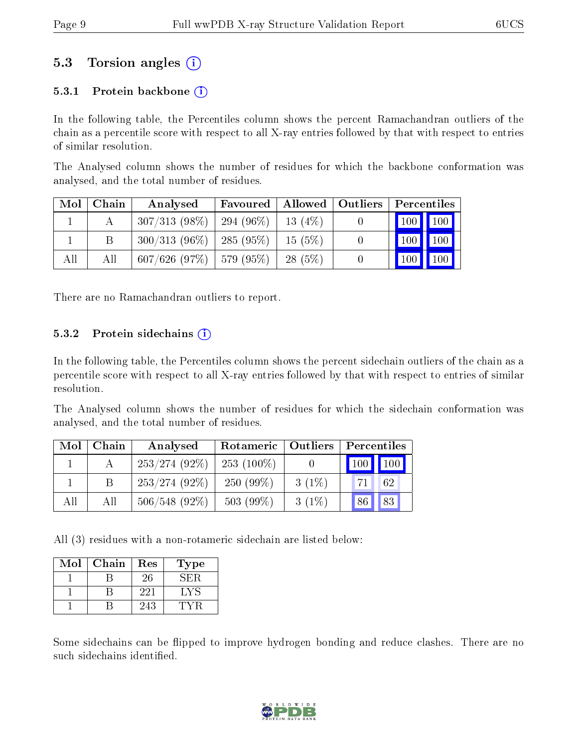### 5.3 Torsion angles (i)

#### 5.3.1 Protein backbone  $(i)$

In the following table, the Percentiles column shows the percent Ramachandran outliers of the chain as a percentile score with respect to all X-ray entries followed by that with respect to entries of similar resolution.

The Analysed column shows the number of residues for which the backbone conformation was analysed, and the total number of residues.

| Mol | Chain | Analysed                      | Favoured     | Allowed   | Outliers |            | Percentiles |  |
|-----|-------|-------------------------------|--------------|-----------|----------|------------|-------------|--|
|     |       | $307/313(98\%)$               | $294(96\%)$  | $13(4\%)$ |          | 100 100    |             |  |
|     | В     | $300/313(96\%)$               | $-285(95\%)$ | 15(5%)    |          | '100       | 100         |  |
| All | Аll   | $607/626$ (97\%)   579 (95\%) |              | $28(5\%)$ |          | $100 \mid$ | 100         |  |

There are no Ramachandran outliers to report.

#### 5.3.2 Protein sidechains  $(i)$

In the following table, the Percentiles column shows the percent sidechain outliers of the chain as a percentile score with respect to all X-ray entries followed by that with respect to entries of similar resolution.

The Analysed column shows the number of residues for which the sidechain conformation was analysed, and the total number of residues.

| Mol | Chain | Analysed        | Rotameric   Outliers |          | Percentiles                  |  |  |
|-----|-------|-----------------|----------------------|----------|------------------------------|--|--|
|     |       | $253/274(92\%)$ | $253(100\%)$         |          | $\mid$ 100 $\mid$ 100 $\mid$ |  |  |
|     |       | $253/274(92\%)$ | $250(99\%)$          | $3(1\%)$ | 62                           |  |  |
| All | All   | $506/548(92\%)$ | $503(99\%)$          | $3(1\%)$ | 83<br> 86                    |  |  |

All (3) residues with a non-rotameric sidechain are listed below:

| Mol | Chain | Res | Type |
|-----|-------|-----|------|
|     |       | 26  | 58.B |
|     |       | 221 | LY   |
|     |       | 243 |      |

Some sidechains can be flipped to improve hydrogen bonding and reduce clashes. There are no such sidechains identified.

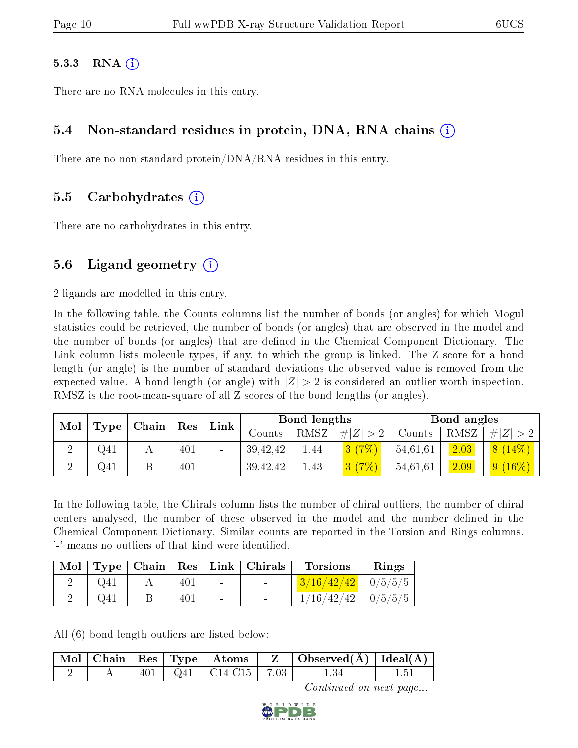#### $5.3.3$  RNA  $(i)$

There are no RNA molecules in this entry.

#### 5.4 Non-standard residues in protein, DNA, RNA chains (i)

There are no non-standard protein/DNA/RNA residues in this entry.

#### 5.5 Carbohydrates (i)

There are no carbohydrates in this entry.

#### 5.6 Ligand geometry  $(i)$

2 ligands are modelled in this entry.

In the following table, the Counts columns list the number of bonds (or angles) for which Mogul statistics could be retrieved, the number of bonds (or angles) that are observed in the model and the number of bonds (or angles) that are defined in the Chemical Component Dictionary. The Link column lists molecule types, if any, to which the group is linked. The Z score for a bond length (or angle) is the number of standard deviations the observed value is removed from the expected value. A bond length (or angle) with  $|Z| > 2$  is considered an outlier worth inspection. RMSZ is the root-mean-square of all Z scores of the bond lengths (or angles).

| Mol | Type              |  |     | Link   |          | Bond lengths |        |          | Bond angles |             |
|-----|-------------------|--|-----|--------|----------|--------------|--------|----------|-------------|-------------|
|     | $ $ Chain $ $ Res |  |     | Counts | RMSZ     | # Z          | Counts | RMSZ     | $\# Z  > 2$ |             |
|     | Q41               |  | 401 |        | 39,42,42 | 1.44         | 3(7%)  | 54,61,61 | 2.03        | 8(14%)      |
|     | Q41               |  | 401 |        | 39,42,42 | 1.43         | 3(7%)  | 54,61,61 | 2.09        | $ 9(16\%) $ |

In the following table, the Chirals column lists the number of chiral outliers, the number of chiral centers analysed, the number of these observed in the model and the number defined in the Chemical Component Dictionary. Similar counts are reported in the Torsion and Rings columns. '-' means no outliers of that kind were identified.

| Mol |          |     |                          | $\top$ Type   Chain   Res   Link   Chirals | <b>Torsions</b>          | Rings |
|-----|----------|-----|--------------------------|--------------------------------------------|--------------------------|-------|
|     |          | 401 | $\sim$                   | $\sim$                                     | $3/16/42/42$   0/5/5/5   |       |
|     | $Q_{41}$ | 401 | $\overline{\phantom{a}}$ | $\sim$                                     | $1/16/42/42$   $0/5/5/5$ |       |

All (6) bond length outliers are listed below:

|  |  |                               | $\mid$ Mol $\mid$ Chain $\mid$ Res $\mid$ Type $\mid$ Atoms $\mid$ Z $\mid$ Observed(A) $\mid$ Ideal(A) |  |
|--|--|-------------------------------|---------------------------------------------------------------------------------------------------------|--|
|  |  | $401$   Q41   C14-C15   -7.03 | 1.34                                                                                                    |  |

Continued on next page...

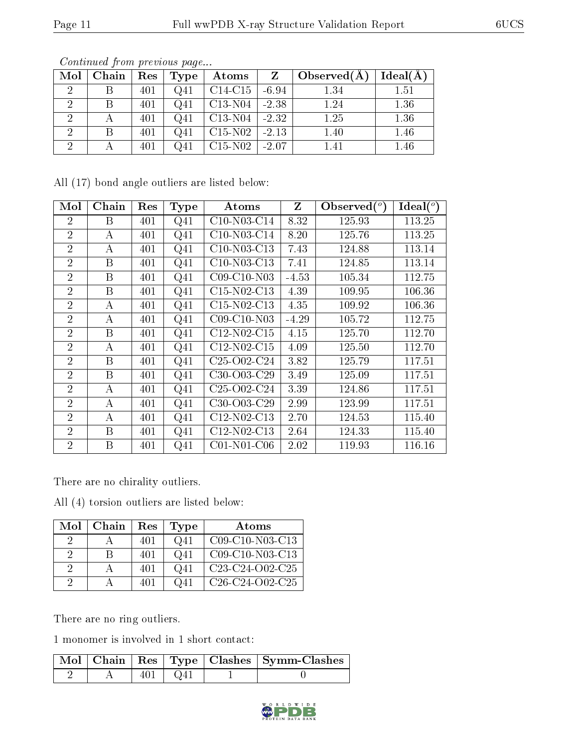| Mol | Chain | Res | Type            | Atoms     |         | Observed $(A)$ | Ideal(A) |
|-----|-------|-----|-----------------|-----------|---------|----------------|----------|
|     |       | 401 | Q <sub>41</sub> | $C14-C15$ | $-6.94$ | $1.34\,$       | 1.51     |
|     |       | 401 | Q <sub>41</sub> | $C13-N04$ | $-2.38$ | 1.24           | 1.36     |
|     |       | 401 | $Q_{41}$        | $C13-N04$ | $-2.32$ | 1.25           | 1.36     |
|     |       | 401 | $Q_{41}$        | $C15-N02$ | $-2.13$ | 1.40           | 1.46     |
|     |       | 401 | Q41             | $C15-N02$ | $-2.07$ | 1.41           | 1.46     |

Continued from previous page...

All (17) bond angle outliers are listed below:

| Mol            | Chain    | Res | <b>Type</b>     | Atoms         | Z       | Observed $(°)$ | $Ideal(^o)$ |
|----------------|----------|-----|-----------------|---------------|---------|----------------|-------------|
| $\overline{2}$ | B        | 401 | Q <sub>41</sub> | C10-N03-C14   | 8.32    | 125.93         | 113.25      |
| $\overline{2}$ | А        | 401 | Q <sub>41</sub> | C10-N03-C14   | 8.20    | 125.76         | 113.25      |
| $\overline{2}$ | А        | 401 | Q <sub>41</sub> | C10-N03-C13   | 7.43    | 124.88         | 113.14      |
| $\overline{2}$ | B        | 401 | Q <sub>41</sub> | C10-N03-C13   | 7.41    | 124.85         | 113.14      |
| $\overline{2}$ | B        | 401 | Q <sub>41</sub> | C09-C10-N03   | $-4.53$ | 105.34         | 112.75      |
| $\overline{2}$ | B        | 401 | Q <sub>41</sub> | $C15-N02-C13$ | 4.39    | 109.95         | 106.36      |
| $\overline{2}$ | A        | 401 | Q <sub>41</sub> | $C15-N02-C13$ | 4.35    | 109.92         | 106.36      |
| $\overline{2}$ | А        | 401 | Q <sub>41</sub> | C09-C10-N03   | $-4.29$ | 105.72         | 112.75      |
| $\overline{2}$ | B        | 401 | Q <sub>41</sub> | C12-N02-C15   | 4.15    | 125.70         | 112.70      |
| $\overline{2}$ | $\bf{A}$ | 401 | Q <sub>41</sub> | $C12-N02-C15$ | 4.09    | 125.50         | 112.70      |
| $\overline{2}$ | B        | 401 | Q <sub>41</sub> | $C25-O02-C24$ | 3.82    | 125.79         | 117.51      |
| $\overline{2}$ | B        | 401 | Q <sub>41</sub> | C30-O03-C29   | 3.49    | 125.09         | 117.51      |
| $\overline{2}$ | $\bf{A}$ | 401 | Q <sub>41</sub> | $C25-O02-C24$ | 3.39    | 124.86         | 117.51      |
| $\overline{2}$ | А        | 401 | Q <sub>41</sub> | $C30-O03-C29$ | 2.99    | 123.99         | 117.51      |
| $\overline{2}$ | A        | 401 | Q <sub>41</sub> | C12-N02-C13   | 2.70    | 124.53         | 115.40      |
| $\overline{2}$ | B        | 401 | Q <sub>41</sub> | C12-N02-C13   | 2.64    | 124.33         | 115.40      |
| $\overline{2}$ | B        | 401 | $Q_{41}$        | $CO1-N01-C06$ | 2.02    | 119.93         | 116.16      |

There are no chirality outliers.

All (4) torsion outliers are listed below:

| Mol     | Chain | Res | Type     | Atoms             |
|---------|-------|-----|----------|-------------------|
| $\cdot$ |       | 401 | Q41      | C09-C10-N03-C13   |
| 2       | R     | 401 | $Q_{41}$ | $C09-C10-N03-C13$ |
| 2       |       | 401 | Q41      | $C23-C24-O02-C25$ |
|         |       | 401 | Q41      | $C26-C24-O02-C25$ |

There are no ring outliers.

1 monomer is involved in 1 short contact:

|  |     | Mol   Chain   Res   Type   Clashes   Symm-Clashes |
|--|-----|---------------------------------------------------|
|  | Q41 |                                                   |

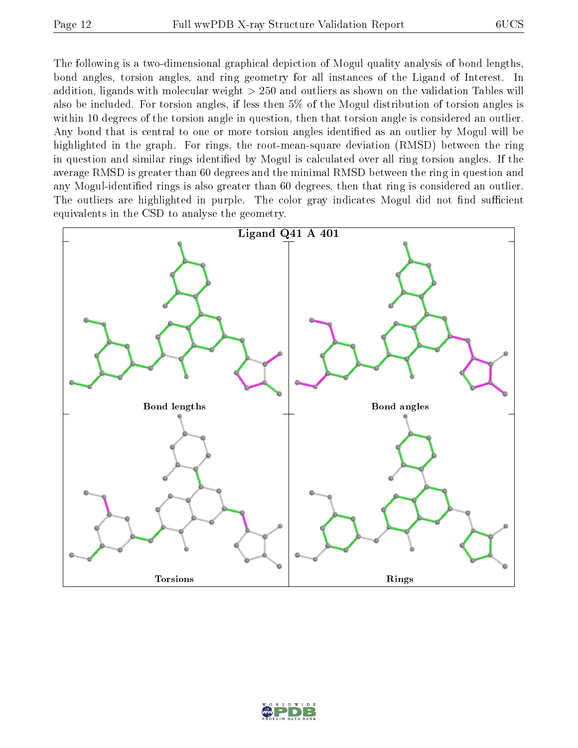The following is a two-dimensional graphical depiction of Mogul quality analysis of bond lengths, bond angles, torsion angles, and ring geometry for all instances of the Ligand of Interest. In addition, ligands with molecular weight > 250 and outliers as shown on the validation Tables will also be included. For torsion angles, if less then 5% of the Mogul distribution of torsion angles is within 10 degrees of the torsion angle in question, then that torsion angle is considered an outlier. Any bond that is central to one or more torsion angles identified as an outlier by Mogul will be highlighted in the graph. For rings, the root-mean-square deviation (RMSD) between the ring in question and similar rings identified by Mogul is calculated over all ring torsion angles. If the average RMSD is greater than 60 degrees and the minimal RMSD between the ring in question and any Mogul-identified rings is also greater than 60 degrees, then that ring is considered an outlier. The outliers are highlighted in purple. The color gray indicates Mogul did not find sufficient equivalents in the CSD to analyse the geometry.



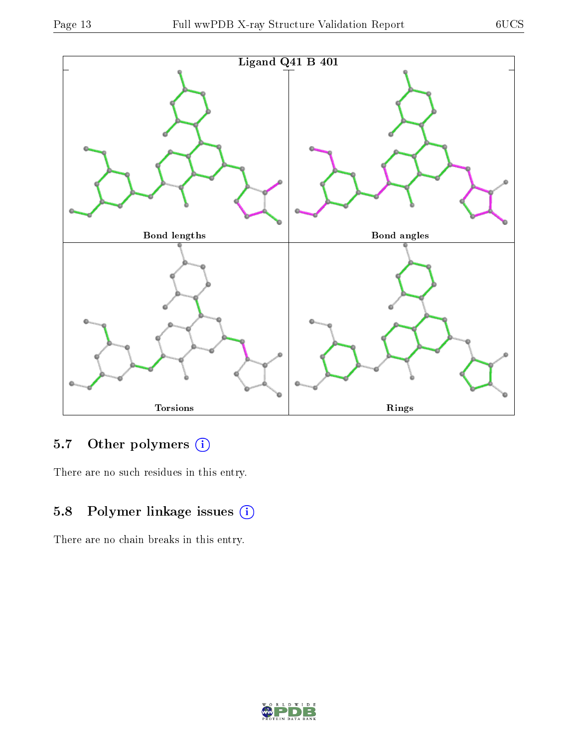

## 5.7 [O](https://www.wwpdb.org/validation/2017/XrayValidationReportHelp#nonstandard_residues_and_ligands)ther polymers (i)

There are no such residues in this entry.

## 5.8 Polymer linkage issues (i)

There are no chain breaks in this entry.

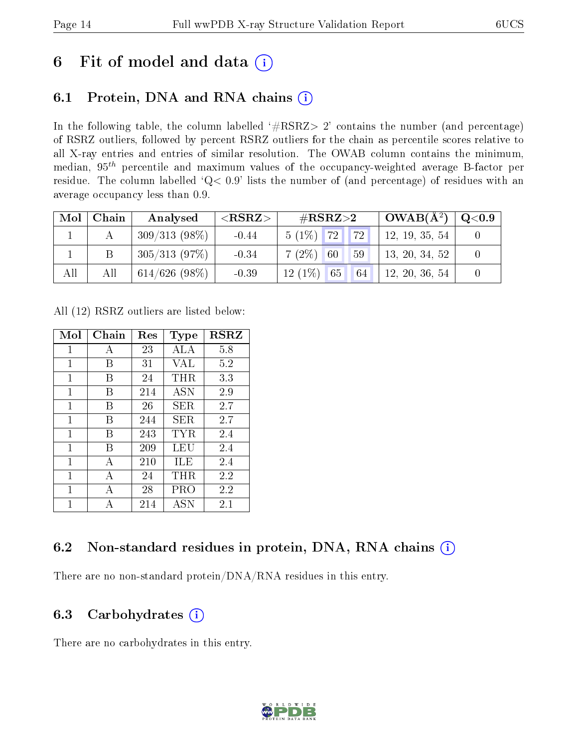## 6 Fit of model and data  $(i)$

## 6.1 Protein, DNA and RNA chains  $(i)$

In the following table, the column labelled  $#RSRZ> 2'$  contains the number (and percentage) of RSRZ outliers, followed by percent RSRZ outliers for the chain as percentile scores relative to all X-ray entries and entries of similar resolution. The OWAB column contains the minimum, median,  $95<sup>th</sup>$  percentile and maximum values of the occupancy-weighted average B-factor per residue. The column labelled ' $Q< 0.9$ ' lists the number of (and percentage) of residues with an average occupancy less than 0.9.

| $\bf{Mol}$ | Chain | Analysed        | $<$ RSRZ $>$ | $\rm \#RSRZ{>}2$    | $\mid$ OWAB( $\rm \AA^2) \mid$ | $\mid \text{Q} {<} 0.9 \mid$ |
|------------|-------|-----------------|--------------|---------------------|--------------------------------|------------------------------|
|            |       | $309/313(98\%)$ | $-0.44$      | $5(1\%)$ 72<br> 72  | 12, 19, 35, 54                 |                              |
|            |       | 305/313(97%)    | $-0.34$      | $7(2\%)$ 60<br>59   | 13, 20, 34, 52                 |                              |
| All        | All   | $614/626(98\%)$ | $-0.39$      | $12(1\%)$ 65<br> 64 | 12, 20, 36, 54                 |                              |

All (12) RSRZ outliers are listed below:

| Mol | Chain | $\operatorname{Res}% \left( \mathcal{N}\right) \equiv\operatorname{Res}(\mathcal{N}_{0},\mathcal{N}_{0})$ | Type       | <b>RSRZ</b> |
|-----|-------|-----------------------------------------------------------------------------------------------------------|------------|-------------|
| 1   | А     | 23                                                                                                        | ALA        | 5.8         |
| 1   | В     | 31                                                                                                        | VAL        | 5.2         |
| 1   | В     | 24                                                                                                        | $\rm THR$  | 3.3         |
| 1   | В     | 214                                                                                                       | <b>ASN</b> | 2.9         |
| 1   | В     | 26                                                                                                        | SER.       | 2.7         |
| 1   | В     | 244                                                                                                       | SER        | 2.7         |
| 1   | В     | 243                                                                                                       | TYR.       | 2.4         |
| 1   | В     | 209                                                                                                       | LEU        | 2.4         |
| 1   | A     | 210                                                                                                       | ILE        | 2.4         |
| 1   | А     | 24                                                                                                        | $\rm THR$  | 2.2         |
| 1   | А     | 28                                                                                                        | PRO        | 2.2         |
| 1   |       | 214                                                                                                       | ASN        | 2.1         |

### 6.2 Non-standard residues in protein, DNA, RNA chains (i)

There are no non-standard protein/DNA/RNA residues in this entry.

### 6.3 Carbohydrates  $(i)$

There are no carbohydrates in this entry.

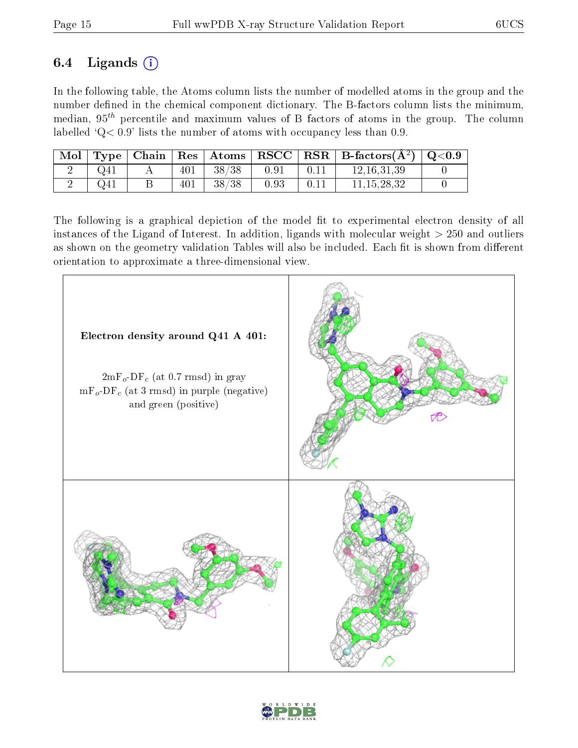### 6.4 Ligands  $(i)$

In the following table, the Atoms column lists the number of modelled atoms in the group and the number defined in the chemical component dictionary. The B-factors column lists the minimum, median,  $95<sup>th</sup>$  percentile and maximum values of B factors of atoms in the group. The column labelled  $Q < 0.9$ ' lists the number of atoms with occupancy less than 0.9.

| Mol |          |     | $\top$ Type   Chain   Res   Atoms |      | $\mid$ RSCC $\mid$ RSR $\mid$ B-factors $\overline{(A^2)}$ | $\mid \text{Q} {<} 0.9$ |
|-----|----------|-----|-----------------------------------|------|------------------------------------------------------------|-------------------------|
|     | $Q_{41}$ | 401 | 38/38                             | 0.91 | 12.16.31.39                                                |                         |
|     | Q41      | 401 | 38/38                             | 0.93 | 11.15.28.32                                                |                         |

The following is a graphical depiction of the model fit to experimental electron density of all instances of the Ligand of Interest. In addition, ligands with molecular weight  $> 250$  and outliers as shown on the geometry validation Tables will also be included. Each fit is shown from different orientation to approximate a three-dimensional view.